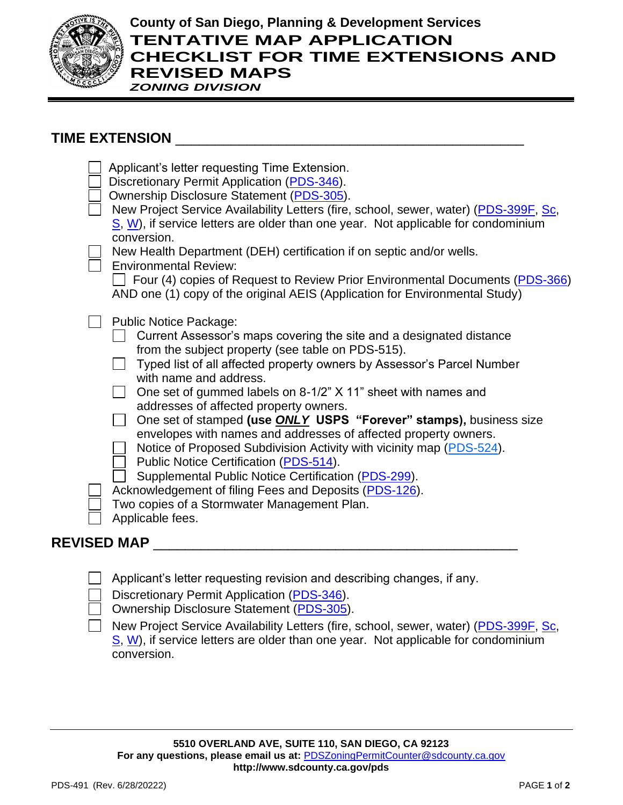

## **County of San Diego, Planning & Development Services TENTATIVE MAP APPLICATION CHECKLIST FOR TIME EXTENSIONS AND REVISED MAPS** *ZONING DIVISION*

## TIME EXTENSION \_

| Applicant's letter requesting Time Extension.<br>Discretionary Permit Application (PDS-346).<br>Ownership Disclosure Statement (PDS-305).<br>New Project Service Availability Letters (fire, school, sewer, water) (PDS-399F, Sc,<br>S. W), if service letters are older than one year. Not applicable for condominium<br>conversion.<br>New Health Department (DEH) certification if on septic and/or wells.<br><b>Environmental Review:</b><br>Four (4) copies of Request to Review Prior Environmental Documents (PDS-366)<br>AND one (1) copy of the original AEIS (Application for Environmental Study)                                                                                                                                                                                                                    |
|---------------------------------------------------------------------------------------------------------------------------------------------------------------------------------------------------------------------------------------------------------------------------------------------------------------------------------------------------------------------------------------------------------------------------------------------------------------------------------------------------------------------------------------------------------------------------------------------------------------------------------------------------------------------------------------------------------------------------------------------------------------------------------------------------------------------------------|
| <b>Public Notice Package:</b><br>Current Assessor's maps covering the site and a designated distance<br>from the subject property (see table on PDS-515).<br>Typed list of all affected property owners by Assessor's Parcel Number<br>with name and address.<br>One set of gummed labels on 8-1/2" X 11" sheet with names and<br>addresses of affected property owners.<br>One set of stamped (use <b>ONLY USPS "Forever" stamps)</b> , business size<br>envelopes with names and addresses of affected property owners.<br>Notice of Proposed Subdivision Activity with vicinity map (PDS-524).<br>Public Notice Certification (PDS-514).<br>Supplemental Public Notice Certification (PDS-299).<br>Acknowledgement of filing Fees and Deposits (PDS-126).<br>Two copies of a Stormwater Management Plan.<br>Applicable fees. |
| <b>REVISED MAP</b>                                                                                                                                                                                                                                                                                                                                                                                                                                                                                                                                                                                                                                                                                                                                                                                                              |

Applicant's letter requesting revision and describing changes, if any.

|  |  | Discretionary Permit Application (PDS-346). |  |
|--|--|---------------------------------------------|--|
|--|--|---------------------------------------------|--|

Ownership Disclosure Statement [\(PDS-305\)](https://www.sandiegocounty.gov/content/dam/sdc/pds/zoning/formfields/PDS-PLN-305.pdf).

New Project Service Availability Letters (fire, school, sewer, water) [\(PDS-399F,](https://www.sandiegocounty.gov/content/dam/sdc/pds/zoning/formfields/PDS-PLN-399F.pdf) [Sc,](https://www.sandiegocounty.gov/content/dam/sdc/pds/zoning/formfields/PDS-PLN-399SC.pdf) [S,](https://www.sandiegocounty.gov/content/dam/sdc/pds/zoning/formfields/PDS-PLN-399S.pdf) [W\)](https://www.sandiegocounty.gov/content/dam/sdc/pds/zoning/formfields/PDS-PLN-399W.pdf), if service letters are older than one year. Not applicable for condominium conversion.